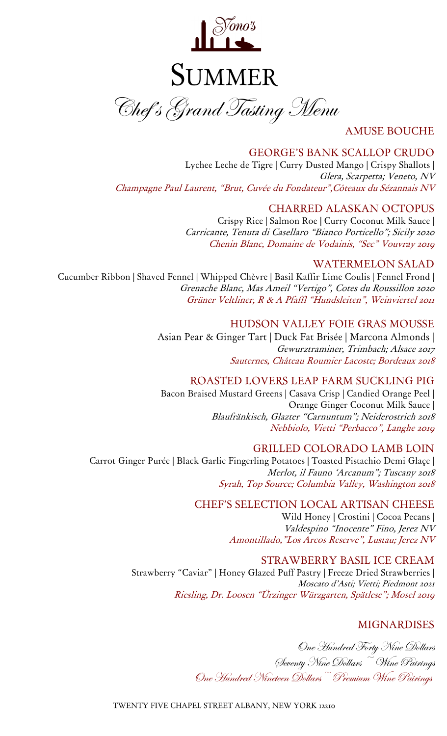

AMUSE BOUCHE

### GEORGE'S BANK SCALLOP CRUDO

Lychee Leche de Tigre | Curry Dusted Mango | Crispy Shallots | Glera, Scarpetta; Veneto, NV Champagne Paul Laurent, "Brut, Cuvée du Fondateur",Côteaux du Sézannais NV

### CHARRED ALASKAN OCTOPUS

Crispy Rice | Salmon Roe | Curry Coconut Milk Sauce | Carricante, Tenuta di Casellaro "Bianco Porticello"; Sicily 2020 Chenin Blanc, Domaine de Vodainis, "Sec" Vouvray 2019

#### WATERMELON SALAD

Cucumber Ribbon | Shaved Fennel | Whipped Chèvre | Basil Kaffir Lime Coulis | Fennel Frond | Grenache Blanc, Mas Ameil "Vertigo", Cotes du Roussillon <sup>2020</sup> Grüner Veltliner, R & A Pfaffl "Hundsleiten", Weinviertel 2011

#### HUDSON VALLEY FOIE GRAS MOUSSE

Asian Pear & Ginger Tart | Duck Fat Brisée | Marcona Almonds | Gewurztraminer, Trimbach; Alsace 2017 Sauternes, Château Roumier Lacoste; Bordeaux 2018

### ROASTED LOVERS LEAP FARM SUCKLING PIG

Bacon Braised Mustard Greens | Casava Crisp | Candied Orange Peel | Orange Ginger Coconut Milk Sauce | Blaufränkisch, Glazter "Carnuntum"; Neiderostrich 2018 Nebbiolo, Vietti "Perbacco", Langhe 2019

#### GRILLED COLORADO LAMB LOIN

Carrot Ginger Purée | Black Garlic Fingerling Potatoes | Toasted Pistachio Demi Glaçe | Merlot, il Fauno 'Arcanum"; Tuscany <sup>2018</sup> Syrah, Top Source; Columbia Valley, Washington <sup>2018</sup>

### CHEF'S SELECTION LOCAL ARTISAN CHEESE

Wild Honey | Crostini | Cocoa Pecans | Valdespino "Inocente" Fino, Jerez NV Amontillado,"Los Arcos Reserve", Lustau; Jerez NV

### STRAWBERRY BASIL ICE CREAM

Strawberry "Caviar" | Honey Glazed Puff Pastry | Freeze Dried Strawberries | Moscato d'Asti; Vietti; Piedmont 2021 Riesling, Dr. Loosen "Ürzinger Würzgarten, Spätlese"; Mosel <sup>2019</sup>

## MIGNARDISES

One Hundred Forty Nine Dollars Seventy Nine Dollars ~ Wine Pairings One Hundred Nineteen Dollars~ Premium Wine Pairings

TWENTY FIVE CHAPEL STREET ALBANY, NEW YORK 12210